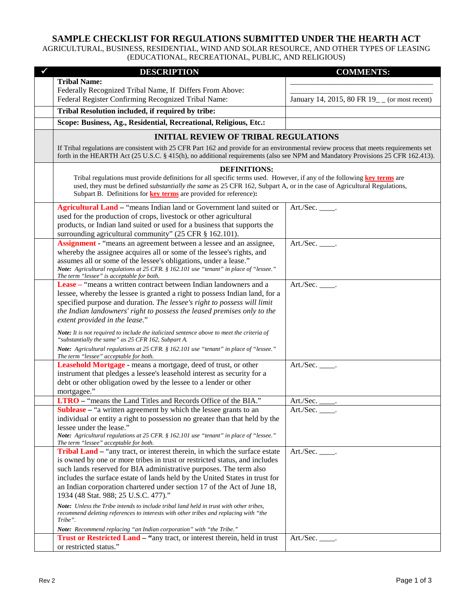## **SAMPLE CHECKLIST FOR REGULATIONS SUBMITTED UNDER THE HEARTH ACT**

AGRICULTURAL, BUSINESS, RESIDENTIAL, WIND AND SOLAR RESOURCE, AND OTHER TYPES OF LEASING (EDUCATIONAL, RECREATIONAL, PUBLIC, AND RELIGIOUS)

| <b>DESCRIPTION</b>                                                                                                                                                                                                                                                       | <b>COMMENTS:</b>                             |
|--------------------------------------------------------------------------------------------------------------------------------------------------------------------------------------------------------------------------------------------------------------------------|----------------------------------------------|
| <b>Tribal Name:</b>                                                                                                                                                                                                                                                      |                                              |
| Federally Recognized Tribal Name, If Differs From Above:                                                                                                                                                                                                                 |                                              |
| Federal Register Confirming Recognized Tribal Name:                                                                                                                                                                                                                      | January 14, 2015, 80 FR 19_ (or most recent) |
| Tribal Resolution included, if required by tribe:                                                                                                                                                                                                                        |                                              |
| Scope: Business, Ag., Residential, Recreational, Religious, Etc.:                                                                                                                                                                                                        |                                              |
|                                                                                                                                                                                                                                                                          |                                              |
| <b>INITIAL REVIEW OF TRIBAL REGULATIONS</b>                                                                                                                                                                                                                              |                                              |
| If Tribal regulations are consistent with 25 CFR Part 162 and provide for an environmental review process that meets requirements set<br>forth in the HEARTH Act (25 U.S.C. § 415(h), no additional requirements (also see NPM and Mandatory Provisions 25 CFR 162.413). |                                              |
| <b>DEFINITIONS:</b>                                                                                                                                                                                                                                                      |                                              |
| Tribal regulations must provide definitions for all specific terms used. However, if any of the following key terms are                                                                                                                                                  |                                              |
| used, they must be defined <i>substantially the same</i> as 25 CFR 162, Subpart A, or in the case of Agricultural Regulations,                                                                                                                                           |                                              |
| Subpart B. Definitions for <b>key terms</b> are provided for reference):                                                                                                                                                                                                 |                                              |
| Agricultural Land - "means Indian land or Government land suited or                                                                                                                                                                                                      | Art./Sec. $\_\_\_\$ .                        |
| used for the production of crops, livestock or other agricultural                                                                                                                                                                                                        |                                              |
| products, or Indian land suited or used for a business that supports the                                                                                                                                                                                                 |                                              |
| surrounding agricultural community" (25 CFR § 162.101).                                                                                                                                                                                                                  |                                              |
| <b>Assignment</b> - "means an agreement between a lessee and an assignee,                                                                                                                                                                                                | Art./Sec.                                    |
| whereby the assignee acquires all or some of the lessee's rights, and                                                                                                                                                                                                    |                                              |
| assumes all or some of the lessee's obligations, under a lease."                                                                                                                                                                                                         |                                              |
| Note: Agricultural regulations at 25 CFR. § 162.101 use "tenant" in place of "lessee."<br>The term "lessee" is acceptable for both.                                                                                                                                      |                                              |
| Lease – "means a written contract between Indian landowners and a                                                                                                                                                                                                        | Art./Sec. ____.                              |
| lessee, whereby the lessee is granted a right to possess Indian land, for a                                                                                                                                                                                              |                                              |
| specified purpose and duration. The lessee's right to possess will limit                                                                                                                                                                                                 |                                              |
| the Indian landowners' right to possess the leased premises only to the                                                                                                                                                                                                  |                                              |
| extent provided in the lease."                                                                                                                                                                                                                                           |                                              |
| Note: It is not required to include the italicized sentence above to meet the criteria of                                                                                                                                                                                |                                              |
| "substantially the same" as 25 CFR 162, Subpart A.                                                                                                                                                                                                                       |                                              |
| Note: Agricultural regulations at 25 CFR. § 162.101 use "tenant" in place of "lessee."                                                                                                                                                                                   |                                              |
| The term "lessee" acceptable for both.<br>Leasehold Mortgage - means a mortgage, deed of trust, or other                                                                                                                                                                 | Art./Sec.                                    |
| instrument that pledges a lessee's leasehold interest as security for a                                                                                                                                                                                                  |                                              |
| debt or other obligation owed by the lessee to a lender or other                                                                                                                                                                                                         |                                              |
| mortgagee."                                                                                                                                                                                                                                                              |                                              |
| <b>LTRO</b> – "means the Land Titles and Records Office of the BIA."                                                                                                                                                                                                     | Art./Sec.                                    |
| Sublease - "a written agreement by which the lessee grants to an                                                                                                                                                                                                         | Art./Sec.                                    |
| individual or entity a right to possession no greater than that held by the                                                                                                                                                                                              |                                              |
| lessee under the lease."                                                                                                                                                                                                                                                 |                                              |
| Note: Agricultural regulations at 25 CFR. § 162.101 use "tenant" in place of "lessee."                                                                                                                                                                                   |                                              |
| The term "lessee" acceptable for both.                                                                                                                                                                                                                                   |                                              |
| Tribal Land - "any tract, or interest therein, in which the surface estate                                                                                                                                                                                               | Art./Sec. $\_\_\_\$ .                        |
| is owned by one or more tribes in trust or restricted status, and includes                                                                                                                                                                                               |                                              |
| such lands reserved for BIA administrative purposes. The term also                                                                                                                                                                                                       |                                              |
| includes the surface estate of lands held by the United States in trust for                                                                                                                                                                                              |                                              |
| an Indian corporation chartered under section 17 of the Act of June 18,<br>1934 (48 Stat. 988; 25 U.S.C. 477)."                                                                                                                                                          |                                              |
| Note: Unless the Tribe intends to include tribal land held in trust with other tribes,                                                                                                                                                                                   |                                              |
| recommend deleting references to interests with other tribes and replacing with "the                                                                                                                                                                                     |                                              |
| Tribe".                                                                                                                                                                                                                                                                  |                                              |
| Note: Recommend replacing "an Indian corporation" with "the Tribe."                                                                                                                                                                                                      |                                              |
| Trust or Restricted Land - "any tract, or interest therein, held in trust                                                                                                                                                                                                | Art./Sec.                                    |
| or restricted status."                                                                                                                                                                                                                                                   |                                              |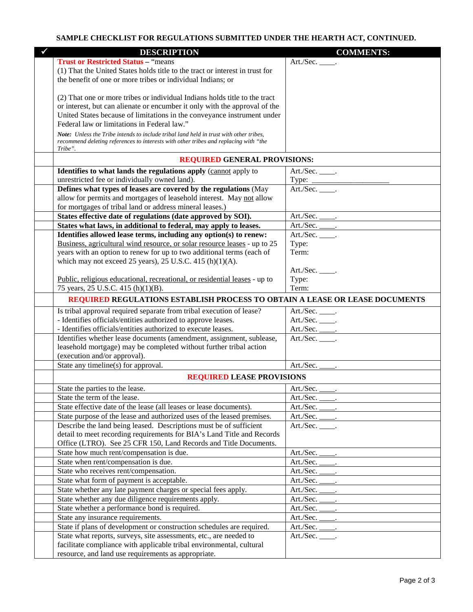## **SAMPLE CHECKLIST FOR REGULATIONS SUBMITTED UNDER THE HEARTH ACT, CONTINUED.**

| <b>DESCRIPTION</b>                                                                                                                                                                        | <b>COMMENTS:</b>                                          |
|-------------------------------------------------------------------------------------------------------------------------------------------------------------------------------------------|-----------------------------------------------------------|
| <b>Trust or Restricted Status - "means"</b>                                                                                                                                               | Art./Sec. $\_\_\_\$ .                                     |
| (1) That the United States holds title to the tract or interest in trust for                                                                                                              |                                                           |
| the benefit of one or more tribes or individual Indians; or                                                                                                                               |                                                           |
| (2) That one or more tribes or individual Indians holds title to the tract                                                                                                                |                                                           |
| or interest, but can alienate or encumber it only with the approval of the                                                                                                                |                                                           |
| United States because of limitations in the conveyance instrument under                                                                                                                   |                                                           |
| Federal law or limitations in Federal law."                                                                                                                                               |                                                           |
| Note: Unless the Tribe intends to include tribal land held in trust with other tribes,<br>recommend deleting references to interests with other tribes and replacing with "the<br>Tribe". |                                                           |
| <b>REQUIRED GENERAL PROVISIONS:</b>                                                                                                                                                       |                                                           |
| Identifies to what lands the regulations apply (cannot apply to                                                                                                                           | $\overline{Art./Sec.}$ .                                  |
| unrestricted fee or individually owned land).                                                                                                                                             | Type: $\frac{\qquad \qquad }{\qquad \qquad }$             |
| Defines what types of leases are covered by the regulations (May                                                                                                                          | Art./Sec. _____.                                          |
| allow for permits and mortgages of leasehold interest. May not allow                                                                                                                      |                                                           |
| for mortgages of tribal land or address mineral leases.)                                                                                                                                  |                                                           |
| States effective date of regulations (date approved by SOI).                                                                                                                              | Art./Sec. _____.                                          |
| States what laws, in additional to federal, may apply to leases.<br>Identifies allowed lease terms, including any option(s) to renew:                                                     | $\overline{\text{Art}}$ ./Sec. _____.<br>Art./Sec. _____. |
| Business, agricultural wind resource, or solar resource leases - up to 25                                                                                                                 | Type:                                                     |
| years with an option to renew for up to two additional terms (each of                                                                                                                     | Term:                                                     |
| which may not exceed 25 years), 25 U.S.C. 415 (h) $(1)(A)$ .                                                                                                                              |                                                           |
| Public, religious educational, recreational, or residential leases - up to                                                                                                                | $Art./Sec.$ _____.                                        |
| 75 years, 25 U.S.C. 415 (h)(1)(B).                                                                                                                                                        | Type:<br>Term:                                            |
| <b>REQUIRED REGULATIONS ESTABLISH PROCESS TO OBTAIN A LEASE OR LEASE DOCUMENTS</b>                                                                                                        |                                                           |
| Is tribal approval required separate from tribal execution of lease?                                                                                                                      | Art./Sec. $\_\_\_\$ .                                     |
| - Identifies officials/entities authorized to approve leases.                                                                                                                             | Art./Sec. _____.                                          |
| - Identifies officials/entities authorized to execute leases.                                                                                                                             | Art./Sec. _____.                                          |
| Identifies whether lease documents (amendment, assignment, sublease,                                                                                                                      | Art./Sec.                                                 |
| leasehold mortgage) may be completed without further tribal action                                                                                                                        |                                                           |
| (execution and/or approval).                                                                                                                                                              |                                                           |
| State any timeline(s) for approval.                                                                                                                                                       | Art./Sec.                                                 |
| <b>REQUIRED LEASE PROVISIONS</b><br>State the parties to the lease.                                                                                                                       |                                                           |
| State the term of the lease.                                                                                                                                                              | Art./Sec.<br>Art./Sec. $\_\_\_\$ .                        |
| State effective date of the lease (all leases or lease documents).                                                                                                                        | Art./Sec. $\_\_\_\$ .                                     |
| State purpose of the lease and authorized uses of the leased premises.                                                                                                                    | Art./Sec. $\_\_$ .                                        |
| Describe the land being leased. Descriptions must be of sufficient                                                                                                                        | Art./Sec. _____.                                          |
| detail to meet recording requirements for BIA's Land Title and Records                                                                                                                    |                                                           |
| Office (LTRO). See 25 CFR 150, Land Records and Title Documents.                                                                                                                          |                                                           |
| State how much rent/compensation is due.                                                                                                                                                  | Art./Sec.                                                 |
| State when rent/compensation is due.                                                                                                                                                      | Art./Sec.                                                 |
| State who receives rent/compensation.                                                                                                                                                     | Art./Sec.                                                 |
| State what form of payment is acceptable.                                                                                                                                                 | Art./Sec.                                                 |
| State whether any late payment charges or special fees apply.                                                                                                                             | Art./Sec. _____.                                          |
| State whether any due diligence requirements apply.                                                                                                                                       | Art./Sec. $\_\_$ .                                        |
| State whether a performance bond is required.                                                                                                                                             | $Art./Sec.$ ______.                                       |
| State any insurance requirements.                                                                                                                                                         | $Art./Sec. \underline{\qquad \qquad .}.$                  |
| State if plans of development or construction schedules are required.                                                                                                                     | $\overline{\text{Art.}}/\text{Sec.}$                      |
| State what reports, surveys, site assessments, etc., are needed to                                                                                                                        | Art./Sec. _____.                                          |
| facilitate compliance with applicable tribal environmental, cultural                                                                                                                      |                                                           |
| resource, and land use requirements as appropriate.                                                                                                                                       |                                                           |